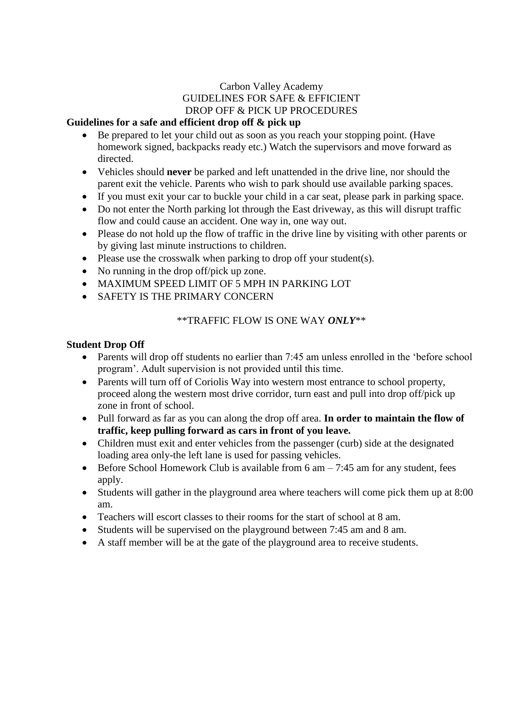# Carbon Valley Academy GUIDELINES FOR SAFE & EFFICIENT DROP OFF & PICK UP PROCEDURES

### **Guidelines for a safe and efficient drop off & pick up**

- Be prepared to let your child out as soon as you reach your stopping point. (Have homework signed, backpacks ready etc.) Watch the supervisors and move forward as directed.
- Vehicles should **never** be parked and left unattended in the drive line, nor should the parent exit the vehicle. Parents who wish to park should use available parking spaces.
- If you must exit your car to buckle your child in a car seat, please park in parking space.
- Do not enter the North parking lot through the East driveway, as this will disrupt traffic flow and could cause an accident. One way in, one way out.
- Please do not hold up the flow of traffic in the drive line by visiting with other parents or by giving last minute instructions to children.
- $\bullet$  Please use the crosswalk when parking to drop off your student(s).
- No running in the drop of f/pick up zone.
- MAXIMUM SPEED LIMIT OF 5 MPH IN PARKING LOT
- SAFETY IS THE PRIMARY CONCERN

### \*\*TRAFFIC FLOW IS ONE WAY *ONLY*\*\*

#### **Student Drop Off**

- Parents will drop off students no earlier than 7:45 am unless enrolled in the 'before school program'. Adult supervision is not provided until this time.
- Parents will turn off of Coriolis Way into western most entrance to school property, proceed along the western most drive corridor, turn east and pull into drop off/pick up zone in front of school.
- Pull forward as far as you can along the drop off area. **In order to maintain the flow of traffic, keep pulling forward as cars in front of you leave.**
- Children must exit and enter vehicles from the passenger (curb) side at the designated loading area only-the left lane is used for passing vehicles.
- $\bullet$  Before School Homework Club is available from 6 am  $-7:45$  am for any student, fees apply.
- Students will gather in the playground area where teachers will come pick them up at 8:00 am.
- Teachers will escort classes to their rooms for the start of school at 8 am.
- Students will be supervised on the playground between 7:45 am and 8 am.
- A staff member will be at the gate of the playground area to receive students.